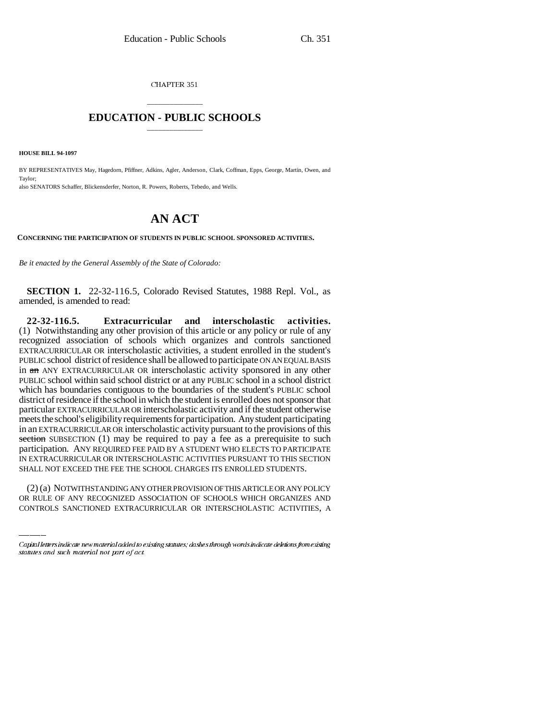CHAPTER 351

## \_\_\_\_\_\_\_\_\_\_\_\_\_\_\_ **EDUCATION - PUBLIC SCHOOLS** \_\_\_\_\_\_\_\_\_\_\_\_\_\_\_

**HOUSE BILL 94-1097**

BY REPRESENTATIVES May, Hagedorn, Pfiffner, Adkins, Agler, Anderson, Clark, Coffman, Epps, George, Martin, Owen, and Taylor; also SENATORS Schaffer, Blickensderfer, Norton, R. Powers, Roberts, Tebedo, and Wells.

## **AN ACT**

**CONCERNING THE PARTICIPATION OF STUDENTS IN PUBLIC SCHOOL SPONSORED ACTIVITIES.**

*Be it enacted by the General Assembly of the State of Colorado:*

**SECTION 1.** 22-32-116.5, Colorado Revised Statutes, 1988 Repl. Vol., as amended, is amended to read:

SHALL NOT EXCEED THE FEE THE SCHOOL CHARGES ITS ENROLLED STUDENTS. **22-32-116.5. Extracurricular and interscholastic activities.** (1) Notwithstanding any other provision of this article or any policy or rule of any recognized association of schools which organizes and controls sanctioned EXTRACURRICULAR OR interscholastic activities, a student enrolled in the student's PUBLIC school district of residence shall be allowed to participate ON AN EQUAL BASIS in an ANY EXTRACURRICULAR OR interscholastic activity sponsored in any other PUBLIC school within said school district or at any PUBLIC school in a school district which has boundaries contiguous to the boundaries of the student's PUBLIC school district of residence if the school in which the student is enrolled does not sponsor that particular EXTRACURRICULAR OR interscholastic activity and if the student otherwise meets the school's eligibility requirements for participation. Any student participating in an EXTRACURRICULAR OR interscholastic activity pursuant to the provisions of this section SUBSECTION (1) may be required to pay a fee as a prerequisite to such participation. ANY REQUIRED FEE PAID BY A STUDENT WHO ELECTS TO PARTICIPATE IN EXTRACURRICULAR OR INTERSCHOLASTIC ACTIVITIES PURSUANT TO THIS SECTION

(2) (a) NOTWITHSTANDING ANY OTHER PROVISION OF THIS ARTICLE OR ANY POLICY OR RULE OF ANY RECOGNIZED ASSOCIATION OF SCHOOLS WHICH ORGANIZES AND CONTROLS SANCTIONED EXTRACURRICULAR OR INTERSCHOLASTIC ACTIVITIES, A

Capital letters indicate new material added to existing statutes; dashes through words indicate deletions from existing statutes and such material not part of act.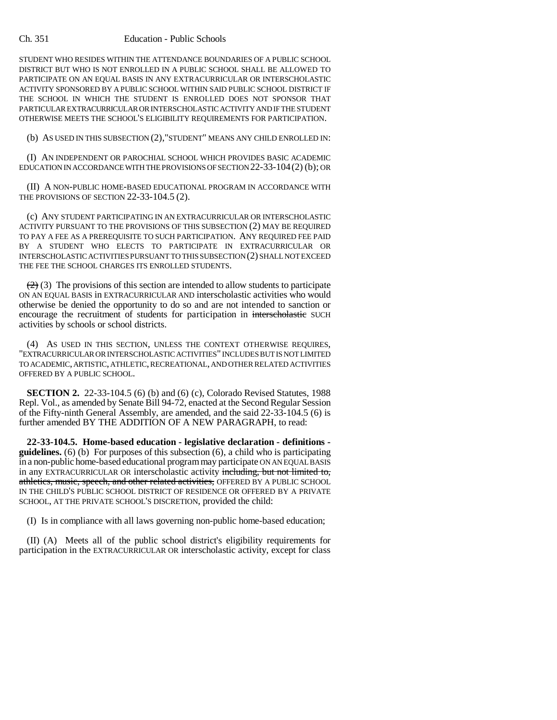## Ch. 351 Education - Public Schools

STUDENT WHO RESIDES WITHIN THE ATTENDANCE BOUNDARIES OF A PUBLIC SCHOOL DISTRICT BUT WHO IS NOT ENROLLED IN A PUBLIC SCHOOL SHALL BE ALLOWED TO PARTICIPATE ON AN EQUAL BASIS IN ANY EXTRACURRICULAR OR INTERSCHOLASTIC ACTIVITY SPONSORED BY A PUBLIC SCHOOL WITHIN SAID PUBLIC SCHOOL DISTRICT IF THE SCHOOL IN WHICH THE STUDENT IS ENROLLED DOES NOT SPONSOR THAT PARTICULAR EXTRACURRICULAR OR INTERSCHOLASTIC ACTIVITY AND IF THE STUDENT OTHERWISE MEETS THE SCHOOL'S ELIGIBILITY REQUIREMENTS FOR PARTICIPATION.

(b) AS USED IN THIS SUBSECTION (2),"STUDENT" MEANS ANY CHILD ENROLLED IN:

(I) AN INDEPENDENT OR PAROCHIAL SCHOOL WHICH PROVIDES BASIC ACADEMIC EDUCATION IN ACCORDANCE WITH THE PROVISIONS OF SECTION 22-33-104(2) (b); OR

(II) A NON-PUBLIC HOME-BASED EDUCATIONAL PROGRAM IN ACCORDANCE WITH THE PROVISIONS OF SECTION 22-33-104.5 (2).

(c) ANY STUDENT PARTICIPATING IN AN EXTRACURRICULAR OR INTERSCHOLASTIC ACTIVITY PURSUANT TO THE PROVISIONS OF THIS SUBSECTION (2) MAY BE REQUIRED TO PAY A FEE AS A PREREQUISITE TO SUCH PARTICIPATION. ANY REQUIRED FEE PAID BY A STUDENT WHO ELECTS TO PARTICIPATE IN EXTRACURRICULAR OR INTERSCHOLASTIC ACTIVITIES PURSUANT TO THIS SUBSECTION (2) SHALL NOT EXCEED THE FEE THE SCHOOL CHARGES ITS ENROLLED STUDENTS.

 $(2)$  (3) The provisions of this section are intended to allow students to participate ON AN EQUAL BASIS in EXTRACURRICULAR AND interscholastic activities who would otherwise be denied the opportunity to do so and are not intended to sanction or encourage the recruitment of students for participation in interscholastic SUCH activities by schools or school districts.

(4) AS USED IN THIS SECTION, UNLESS THE CONTEXT OTHERWISE REQUIRES, "EXTRACURRICULAR OR INTERSCHOLASTIC ACTIVITIES" INCLUDES BUT IS NOT LIMITED TO ACADEMIC, ARTISTIC, ATHLETIC, RECREATIONAL, AND OTHER RELATED ACTIVITIES OFFERED BY A PUBLIC SCHOOL.

**SECTION 2.** 22-33-104.5 (6) (b) and (6) (c), Colorado Revised Statutes, 1988 Repl. Vol., as amended by Senate Bill 94-72, enacted at the Second Regular Session of the Fifty-ninth General Assembly, are amended, and the said 22-33-104.5 (6) is further amended BY THE ADDITION OF A NEW PARAGRAPH, to read:

**22-33-104.5. Home-based education - legislative declaration - definitions guidelines.** (6) (b) For purposes of this subsection (6), a child who is participating in a non-public home-based educational program may participate ON AN EQUAL BASIS in any EXTRACURRICULAR OR interscholastic activity including, but not limited to, athletics, music, speech, and other related activities, OFFERED BY A PUBLIC SCHOOL IN THE CHILD'S PUBLIC SCHOOL DISTRICT OF RESIDENCE OR OFFERED BY A PRIVATE SCHOOL, AT THE PRIVATE SCHOOL'S DISCRETION, provided the child:

(I) Is in compliance with all laws governing non-public home-based education;

(II) (A) Meets all of the public school district's eligibility requirements for participation in the EXTRACURRICULAR OR interscholastic activity, except for class